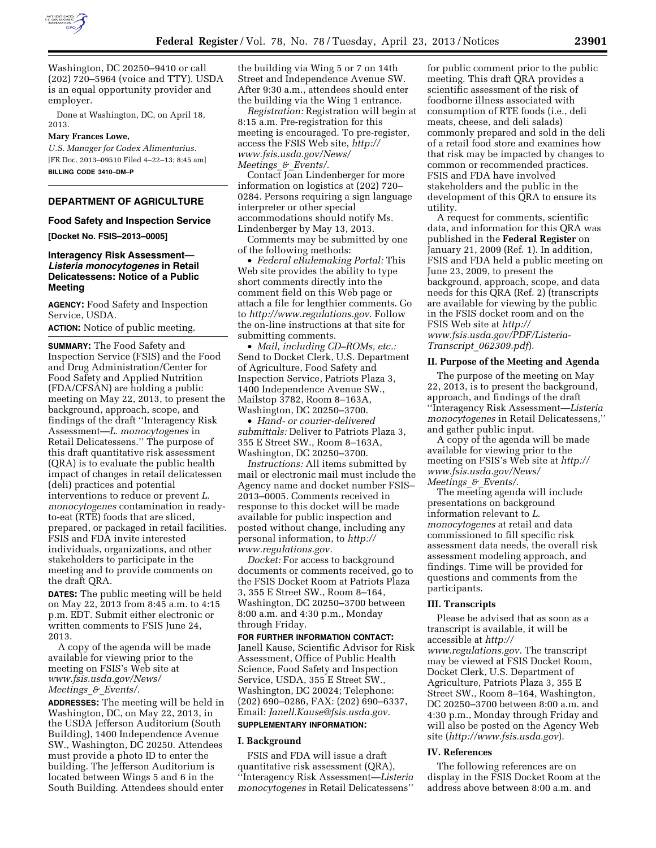

Washington, DC 20250–9410 or call (202) 720–5964 (voice and TTY). USDA is an equal opportunity provider and employer.

Done at Washington, DC, on April 18, 2013.

### **Mary Frances Lowe,**

*U.S. Manager for Codex Alimentarius.*  [FR Doc. 2013–09510 Filed 4–22–13; 8:45 am] **BILLING CODE 3410–DM–P** 

# **DEPARTMENT OF AGRICULTURE**

## **Food Safety and Inspection Service**

**[Docket No. FSIS–2013–0005]** 

# **Interagency Risk Assessment—**  *Listeria monocytogenes* **in Retail Delicatessens: Notice of a Public Meeting**

**AGENCY:** Food Safety and Inspection Service, USDA.

**ACTION:** Notice of public meeting.

**SUMMARY:** The Food Safety and Inspection Service (FSIS) and the Food and Drug Administration/Center for Food Safety and Applied Nutrition (FDA/CFSAN) are holding a public meeting on May 22, 2013, to present the background, approach, scope, and findings of the draft ''Interagency Risk Assessment—*L. monocytogenes* in Retail Delicatessens.'' The purpose of this draft quantitative risk assessment (QRA) is to evaluate the public health impact of changes in retail delicatessen (deli) practices and potential interventions to reduce or prevent *L. monocytogenes* contamination in readyto-eat (RTE) foods that are sliced, prepared, or packaged in retail facilities. FSIS and FDA invite interested individuals, organizations, and other stakeholders to participate in the meeting and to provide comments on the draft QRA.

**DATES:** The public meeting will be held on May 22, 2013 from 8:45 a.m. to 4:15 p.m. EDT. Submit either electronic or written comments to FSIS June 24, 2013.

A copy of the agenda will be made available for viewing prior to the meeting on FSIS's Web site at *[www.fsis.usda.gov/News/](http://www.fsis.usda.gov/News/Meetings_&_Events/) [Meetings](http://www.fsis.usda.gov/News/Meetings_&_Events/)*\_*&*\_*Events/.* 

**ADDRESSES:** The meeting will be held in Washington, DC, on May 22, 2013, in the USDA Jefferson Auditorium (South Building), 1400 Independence Avenue SW., Washington, DC 20250. Attendees must provide a photo ID to enter the building. The Jefferson Auditorium is located between Wings 5 and 6 in the South Building. Attendees should enter the building via Wing 5 or 7 on 14th Street and Independence Avenue SW. After 9:30 a.m., attendees should enter the building via the Wing 1 entrance.

*Registration:* Registration will begin at 8:15 a.m. Pre-registration for this meeting is encouraged. To pre-register, access the FSIS Web site, *[http://](http://www.fsis.usda.gov/News/Meetings_&_Events/)  [www.fsis.usda.gov/News/](http://www.fsis.usda.gov/News/Meetings_&_Events/) [Meetings](http://www.fsis.usda.gov/News/Meetings_&_Events/)*\_*&*\_*Events/.* 

Contact Joan Lindenberger for more information on logistics at (202) 720– 0284. Persons requiring a sign language interpreter or other special accommodations should notify Ms. Lindenberger by May 13, 2013.

Comments may be submitted by one of the following methods:

• *Federal eRulemaking Portal:* This Web site provides the ability to type short comments directly into the comment field on this Web page or attach a file for lengthier comments. Go to *<http://www.regulations.gov>*. Follow the on-line instructions at that site for submitting comments.

• *Mail, including CD–ROMs, etc.:*  Send to Docket Clerk, U.S. Department of Agriculture, Food Safety and Inspection Service, Patriots Plaza 3, 1400 Independence Avenue SW., Mailstop 3782, Room 8–163A, Washington, DC 20250–3700.

• *Hand- or courier-delivered submittals:* Deliver to Patriots Plaza 3, 355 E Street SW., Room 8–163A, Washington, DC 20250–3700.

*Instructions:* All items submitted by mail or electronic mail must include the Agency name and docket number FSIS– 2013–0005. Comments received in response to this docket will be made available for public inspection and posted without change, including any personal information, to *[http://](http://www.regulations.gov)  [www.regulations.gov.](http://www.regulations.gov)* 

*Docket:* For access to background documents or comments received, go to the FSIS Docket Room at Patriots Plaza 3, 355 E Street SW., Room 8–164, Washington, DC 20250–3700 between 8:00 a.m. and 4:30 p.m., Monday through Friday.

**FOR FURTHER INFORMATION CONTACT:**  Janell Kause, Scientific Advisor for Risk Assessment, Office of Public Health Science, Food Safety and Inspection Service, USDA, 355 E Street SW., Washington, DC 20024; Telephone: (202) 690–0286, FAX: (202) 690–6337, Email: *[Janell.Kause@fsis.usda.gov.](mailto:Janell.Kause@fsis.usda.gov)* 

# **SUPPLEMENTARY INFORMATION:**

# **I. Background**

FSIS and FDA will issue a draft quantitative risk assessment (QRA), ''Interagency Risk Assessment—*Listeria monocytogenes* in Retail Delicatessens''

for public comment prior to the public meeting. This draft QRA provides a scientific assessment of the risk of foodborne illness associated with consumption of RTE foods (i.e., deli meats, cheese, and deli salads) commonly prepared and sold in the deli of a retail food store and examines how that risk may be impacted by changes to common or recommended practices. FSIS and FDA have involved stakeholders and the public in the development of this QRA to ensure its utility.

A request for comments, scientific data, and information for this QRA was published in the **Federal Register** on January 21, 2009 (Ref. 1). In addition, FSIS and FDA held a public meeting on June 23, 2009, to present the background, approach, scope, and data needs for this QRA (Ref. 2) (transcripts are available for viewing by the public in the FSIS docket room and on the FSIS Web site at *[http://](http://www.fsis.usda.gov/PDF/Listeria-Transcript_062309.pdf) [www.fsis.usda.gov/PDF/Listeria-](http://www.fsis.usda.gov/PDF/Listeria-Transcript_062309.pdf)Transcript*\_*[062309.pdf](http://www.fsis.usda.gov/PDF/Listeria-Transcript_062309.pdf)*).

### **II. Purpose of the Meeting and Agenda**

The purpose of the meeting on May 22, 2013, is to present the background, approach, and findings of the draft ''Interagency Risk Assessment—*Listeria monocytogenes* in Retail Delicatessens,'' and gather public input.

A copy of the agenda will be made available for viewing prior to the meeting on FSIS's Web site at *[http://](http://www.fsis.usda.gov/News/Meetings_&_Events/) [www.fsis.usda.gov/News/](http://www.fsis.usda.gov/News/Meetings_&_Events/) [Meetings](http://www.fsis.usda.gov/News/Meetings_&_Events/)*\_*&*\_*Events/*.

The meeting agenda will include presentations on background information relevant to *L. monocytogenes* at retail and data commissioned to fill specific risk assessment data needs, the overall risk assessment modeling approach, and findings. Time will be provided for questions and comments from the participants.

### **III. Transcripts**

Please be advised that as soon as a transcript is available, it will be accessible at *[http://](http://www.regulations.gov) [www.regulations.gov.](http://www.regulations.gov)* The transcript may be viewed at FSIS Docket Room, Docket Clerk, U.S. Department of Agriculture, Patriots Plaza 3, 355 E Street SW., Room 8–164, Washington, DC 20250–3700 between 8:00 a.m. and 4:30 p.m., Monday through Friday and will also be posted on the Agency Web site (*<http://www.fsis.usda.gov>*).

#### **IV. References**

The following references are on display in the FSIS Docket Room at the address above between 8:00 a.m. and